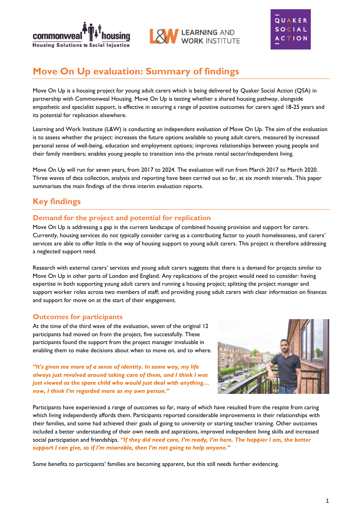





# **Move On Up evaluation: Summary of findings**

Move On Up is a housing project for young adult carers which is being delivered by Quaker Social Action (QSA) in partnership with Commonweal Housing. Move On Up is testing whether a shared housing pathway, alongside empathetic and specialist support, is effective in securing a range of positive outcomes for carers aged 18-25 years and its potential for replication elsewhere.

Learning and Work Institute (L&W) is conducting an independent evaluation of Move On Up. The aim of the evaluation is to assess whether the project: increases the future options available to young adult carers, measured by increased personal sense of well-being, education and employment options; improves relationships between young people and their family members; enables young people to transition into the private rental sector/independent living.

Move On Up will run for seven years, from 2017 to 2024. The evaluation will run from March 2017 to March 2020. Three waves of data collection, analysis and reporting have been carried out so far, at six month intervals. This paper summarises the main findings of the three interim evaluation reports.

## **Key findings**

### **Demand for the project and potential for replication**

Move On Up is addressing a gap in the current landscape of combined housing provision and support for carers. Currently, housing services do not typically consider caring as a contributing factor to youth homelessness, and carers' services are able to offer little in the way of housing support to young adult carers. This project is therefore addressing a neglected support need.

Research with external carers' services and young adult carers suggests that there is a demand for projects similar to Move On Up in other parts of London and England. Any replications of the project would need to consider: having expertise in both supporting young adult carers and running a housing project; splitting the project manager and support worker roles across two members of staff; and providing young adult carers with clear information on finances and support for move on at the start of their engagement.

### **Outcomes for participants**

At the time of the third wave of the evaluation, seven of the original 12 participants had moved on from the project, five successfully. These participants found the support from the project manager invaluable in enabling them to make decisions about when to move on, and to where.

*"It's given me more of a sense of identity. In some way, my life always just revolved around taking care of them, and I think I was just viewed as the spare child who would just deal with anything… now, I think I'm regarded more as my own person."*



Participants have experienced a range of outcomes so far, many of which have resulted from the respite from caring which living independently affords them. Participants reported considerable improvements in their relationships with their families, and some had achieved their goals of going to university or starting teacher training. Other outcomes included a better understanding of their own needs and aspirations, improved independent living skills and increased social participation and friendships. *"If they did need care, I'm ready, I'm here. The happier I am, the better support I can give, so if I'm miserable, then I'm not going to help anyone."*

Some benefits to participants' families are becoming apparent, but this still needs further evidencing.